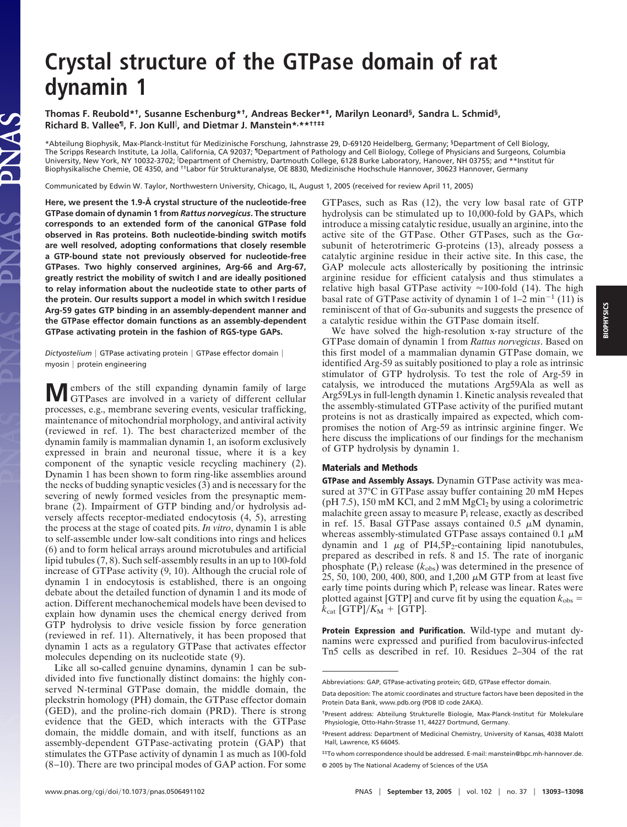## **Crystal structure of the GTPase domain of rat dynamin 1**

**Thomas F. Reubold\*†, Susanne Eschenburg\*†, Andreas Becker\*‡, Marilyn Leonard§, Sandra L. Schmid§, Richard B. Vallee¶, F. Jon Kull , and Dietmar J. Manstein\*, \*\*††‡‡**

\*Abteilung Biophysik, Max-Planck-Institut für Medizinische Forschung, Jahnstrasse 29, D-69120 Heidelberg, Germany; <sup>§</sup>Department of Cell Biology, The Scripps Research Institute, La Jolla, California, CA 92037; ¶Department of Pathology and Cell Biology, College of Physicians and Surgeons, Columbia University, New York, NY 10032-3702; 『Department of Chemistry, Dartmouth College, 6128 Burke Laboratory, Hanover, NH 03755; and \*\*Institut für Biophysikalische Chemie, OE 4350, and <sup>††</sup>Labor für Strukturanalyse, OE 8830, Medizinische Hochschule Hannover, 30623 Hannover, Germany

Communicated by Edwin W. Taylor, Northwestern University, Chicago, IL, August 1, 2005 (received for review April 11, 2005)

**Here, we present the 1.9-Å crystal structure of the nucleotide-free GTPase domain of dynamin 1 from** *Rattus norvegicus***. The structure corresponds to an extended form of the canonical GTPase fold observed in Ras proteins. Both nucleotide-binding switch motifs are well resolved, adopting conformations that closely resemble a GTP-bound state not previously observed for nucleotide-free GTPases. Two highly conserved arginines, Arg-66 and Arg-67, greatly restrict the mobility of switch I and are ideally positioned to relay information about the nucleotide state to other parts of the protein. Our results support a model in which switch I residue Arg-59 gates GTP binding in an assembly-dependent manner and the GTPase effector domain functions as an assembly-dependent GTPase activating protein in the fashion of RGS-type GAPs.**

PNAS

Dictyostelium | GTPase activating protein | GTPase effector domain | myosin | protein engineering

**M**embers of the still expanding dynamin family of large GTPases are involved in a variety of different cellular processes, e.g., membrane severing events, vesicular trafficking, maintenance of mitochondrial morphology, and antiviral activity (reviewed in ref. 1). The best characterized member of the dynamin family is mammalian dynamin 1, an isoform exclusively expressed in brain and neuronal tissue, where it is a key component of the synaptic vesicle recycling machinery (2). Dynamin 1 has been shown to form ring-like assemblies around the necks of budding synaptic vesicles (3) and is necessary for the severing of newly formed vesicles from the presynaptic membrane  $(2)$ . Impairment of GTP binding and/or hydrolysis adversely affects receptor-mediated endocytosis (4, 5), arresting the process at the stage of coated pits. *In vitro*, dynamin 1 is able to self-assemble under low-salt conditions into rings and helices (6) and to form helical arrays around microtubules and artificial lipid tubules (7, 8). Such self-assembly results in an up to 100-fold increase of GTPase activity (9, 10). Although the crucial role of dynamin 1 in endocytosis is established, there is an ongoing debate about the detailed function of dynamin 1 and its mode of action. Different mechanochemical models have been devised to explain how dynamin uses the chemical energy derived from GTP hydrolysis to drive vesicle fission by force generation (reviewed in ref. 11). Alternatively, it has been proposed that dynamin 1 acts as a regulatory GTPase that activates effector molecules depending on its nucleotide state (9).

Like all so-called genuine dynamins, dynamin 1 can be subdivided into five functionally distinct domains: the highly conserved N-terminal GTPase domain, the middle domain, the pleckstrin homology (PH) domain, the GTPase effector domain (GED), and the proline-rich domain (PRD). There is strong evidence that the GED, which interacts with the GTPase domain, the middle domain, and with itself, functions as an assembly-dependent GTPase-activating protein (GAP) that stimulates the GTPase activity of dynamin 1 as much as 100-fold (8–10). There are two principal modes of GAP action. For some GTPases, such as Ras (12), the very low basal rate of GTP hydrolysis can be stimulated up to 10,000-fold by GAPs, which introduce a missing catalytic residue, usually an arginine, into the active site of the GTPase. Other GTPases, such as the  $G\alpha$ subunit of heterotrimeric G-proteins (13), already possess a catalytic arginine residue in their active site. In this case, the GAP molecule acts allosterically by positioning the intrinsic arginine residue for efficient catalysis and thus stimulates a relative high basal GTPase activity  $\approx$ 100-fold (14). The high basal rate of GTPase activity of dynamin 1 of  $1-2$  min<sup>-1</sup> (11) is reminiscent of that of  $Ga$ -subunits and suggests the presence of a catalytic residue within the GTPase domain itself.

We have solved the high-resolution x-ray structure of the GTPase domain of dynamin 1 from *Rattus norvegicus*. Based on this first model of a mammalian dynamin GTPase domain, we identified Arg-59 as suitably positioned to play a role as intrinsic stimulator of GTP hydrolysis. To test the role of Arg-59 in catalysis, we introduced the mutations Arg59Ala as well as Arg59Lys in full-length dynamin 1. Kinetic analysis revealed that the assembly-stimulated GTPase activity of the purified mutant proteins is not as drastically impaired as expected, which compromises the notion of Arg-59 as intrinsic arginine finger. We here discuss the implications of our findings for the mechanism of GTP hydrolysis by dynamin 1.

## **Materials and Methods**

**GTPase and Assembly Assays.** Dynamin GTPase activity was measured at 37°C in GTPase assay buffer containing 20 mM Hepes ( $pH$  7.5), 150 mM KCl, and 2 mM MgCl<sub>2</sub> by using a colorimetric malachite green assay to measure  $P_i$  release, exactly as described in ref. 15. Basal GTPase assays contained 0.5  $\mu$ M dynamin, whereas assembly-stimulated GTPase assays contained 0.1  $\mu$ M dynamin and 1  $\mu$ g of PI4,5P<sub>2</sub>-containing lipid nanotubules, prepared as described in refs. 8 and 15. The rate of inorganic phosphate (P<sub>i</sub>) release ( $k_{\text{obs}}$ ) was determined in the presence of 25, 50, 100, 200, 400, 800, and 1,200  $\mu$ M GTP from at least five early time points during which P<sub>i</sub> release was linear. Rates were plotted against [GTP] and curve fit by using the equation  $k_{obs}$  =  $k_{\text{cat}}$  [GTP]/ $K_{\text{M}}$  + [GTP].

**Protein Expression and Purification.** Wild-type and mutant dynamins were expressed and purified from baculovirus-infected Tn5 cells as described in ref. 10. Residues 2–304 of the rat

Abbreviations: GAP, GTPase-activating protein; GED, GTPase effector domain.

Data deposition: The atomic coordinates and structure factors have been deposited in the Protein Data Bank, www.pdb.org (PDB ID code 2AKA).

<sup>&</sup>lt;sup>†</sup>Present address: Abteilung Strukturelle Biologie, Max-Planck-Institut für Molekulare Physiologie, Otto-Hahn-Strasse 11, 44227 Dortmund, Germany.

<sup>‡</sup>Present address: Department of Medicinal Chemistry, University of Kansas, 4038 Malott Hall, Lawrence, KS 66045.

<sup>‡‡</sup>To whom correspondence should be addressed. E-mail: manstein@bpc.mh-hannover.de. © 2005 by The National Academy of Sciences of the USA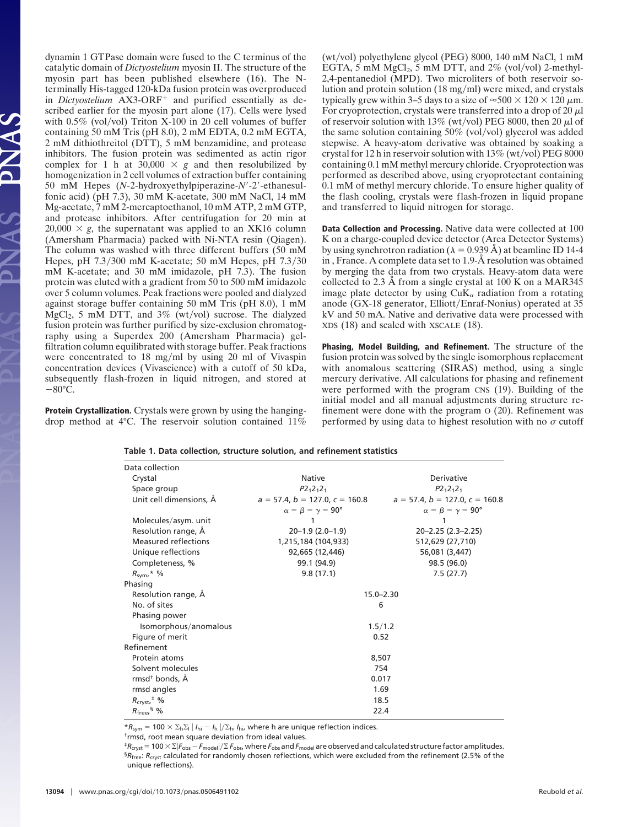dynamin 1 GTPase domain were fused to the C terminus of the catalytic domain of *Dictyostelium* myosin II. The structure of the myosin part has been published elsewhere (16). The Nterminally His-tagged 120-kDa fusion protein was overproduced in *Dictyostelium* AX3-ORF<sup>+</sup> and purified essentially as described earlier for the myosin part alone (17). Cells were lysed with  $0.5\%$  (vol/vol) Triton X-100 in 20 cell volumes of buffer containing 50 mM Tris (pH 8.0), 2 mM EDTA, 0.2 mM EGTA, 2 mM dithiothreitol (DTT), 5 mM benzamidine, and protease inhibitors. The fusion protein was sedimented as actin rigor complex for 1 h at  $30,000 \times g$  and then resolubilized by homogenization in 2 cell volumes of extraction buffer containing 50 mM Hepes (*N*-2-hydroxyethylpiperazine-*N*-2-ethanesulfonic acid) (pH 7.3), 30 mM K-acetate, 300 mM NaCl, 14 mM Mg-acetate, 7 mM 2-mercaptoethanol, 10 mM ATP, 2 mM GTP, and protease inhibitors. After centrifugation for 20 min at  $20,000 \times g$ , the supernatant was applied to an XK16 column (Amersham Pharmacia) packed with Ni-NTA resin (Qiagen). The column was washed with three different buffers (50 mM Hepes, pH  $7.3/300$  mM K-acetate; 50 mM Hepes, pH  $7.3/30$ mM K-acetate; and 30 mM imidazole, pH 7.3). The fusion protein was eluted with a gradient from 50 to 500 mM imidazole over 5 column volumes. Peak fractions were pooled and dialyzed against storage buffer containing 50 mM Tris (pH 8.0), 1 mM  $MgCl<sub>2</sub>$ , 5 mM DTT, and 3% (wt/vol) sucrose. The dialyzed fusion protein was further purified by size-exclusion chromatography using a Superdex 200 (Amersham Pharmacia) gelfiltration column equilibrated with storage buffer. Peak fractions were concentrated to 18 mg/ml by using 20 ml of Vivaspin concentration devices (Vivascience) with a cutoff of 50 kDa, subsequently flash-frozen in liquid nitrogen, and stored at  $-80^{\circ}$ C.

 $\overline{A}$ 

**Protein Crystallization.** Crystals were grown by using the hangingdrop method at 4°C. The reservoir solution contained 11% (wt/vol) polyethylene glycol (PEG)  $8000$ , 140 mM NaCl, 1 mM EGTA, 5 mM  $MgCl<sub>2</sub>$ , 5 mM DTT, and 2% (vol/vol) 2-methyl-2,4-pentanediol (MPD). Two microliters of both reservoir solution and protein solution  $(18 \text{ mg/ml})$  were mixed, and crystals typically grew within 3–5 days to a size of  $\approx$ 500  $\times$  120  $\times$  120  $\mu$ m. For cryoprotection, crystals were transferred into a drop of 20  $\mu$ l of reservoir solution with 13% (wt/vol) PEG 8000, then 20  $\mu$ l of the same solution containing  $50\%$  (vol/vol) glycerol was added stepwise. A heavy-atom derivative was obtained by soaking a crystal for 12 h in reservoir solution with  $13\%$  (wt/vol) PEG 8000 containing 0.1 mM methyl mercury chloride. Cryoprotection was performed as described above, using cryoprotectant containing 0.1 mM of methyl mercury chloride. To ensure higher quality of the flash cooling, crystals were flash-frozen in liquid propane and transferred to liquid nitrogen for storage.

**Data Collection and Processing.** Native data were collected at 100 K on a charge-coupled device detector (Area Detector Systems) by using synchrotron radiation ( $\lambda = 0.939 \text{ Å}$ ) at beamline ID 14-4 in , France. A complete data set to 1.9-Å resolution was obtained by merging the data from two crystals. Heavy-atom data were collected to 2.3 Å from a single crystal at 100 K on a MAR345 image plate detector by using  $CuK_{\alpha}$  radiation from a rotating anode (GX-18 generator, Elliott/Enraf-Nonius) operated at 35 kV and 50 mA. Native and derivative data were processed with XDS (18) and scaled with XSCALE (18).

**Phasing, Model Building, and Refinement.** The structure of the fusion protein was solved by the single isomorphous replacement with anomalous scattering (SIRAS) method, using a single mercury derivative. All calculations for phasing and refinement were performed with the program CNS (19). Building of the initial model and all manual adjustments during structure refinement were done with the program O (20). Refinement was performed by using data to highest resolution with no  $\sigma$  cutoff

| Data collection                     |                                        |                                        |  |  |
|-------------------------------------|----------------------------------------|----------------------------------------|--|--|
| Crystal                             | <b>Native</b>                          | Derivative                             |  |  |
| Space group                         | $P2_12_12_1$                           | $P2_12_12_1$                           |  |  |
| Unit cell dimensions, A             | $a = 57.4$ , $b = 127.0$ , $c = 160.8$ | $a = 57.4$ , $b = 127.0$ , $c = 160.8$ |  |  |
|                                     | $\alpha = \beta = \gamma = 90^{\circ}$ | $\alpha = \beta = \gamma = 90^{\circ}$ |  |  |
| Molecules/asym. unit                |                                        | 1                                      |  |  |
| Resolution range, A                 | $20 - 1.9$ (2.0 $-1.9$ )               | $20 - 2.25$ (2.3 - 2.25)               |  |  |
| <b>Measured reflections</b>         | 1,215,184 (104,933)                    | 512,629 (27,710)                       |  |  |
| Unique reflections                  | 92,665 (12,446)                        | 56,081 (3,447)                         |  |  |
| Completeness, %                     | 99.1 (94.9)                            | 98.5 (96.0)                            |  |  |
| $R_{\text{sym}}$ ,* %               | 9.8(17.1)                              | 7.5(27.7)                              |  |  |
| Phasing                             |                                        |                                        |  |  |
| Resolution range, A                 | $15.0 - 2.30$                          |                                        |  |  |
| No. of sites                        | 6                                      |                                        |  |  |
| Phasing power                       |                                        |                                        |  |  |
| Isomorphous/anomalous               | 1.5/1.2                                |                                        |  |  |
| Figure of merit                     | 0.52                                   |                                        |  |  |
| Refinement                          |                                        |                                        |  |  |
| Protein atoms                       | 8,507                                  |                                        |  |  |
| Solvent molecules                   | 754                                    |                                        |  |  |
| rmsd <sup>+</sup> bonds, Å          | 0.017                                  |                                        |  |  |
| rmsd angles                         | 1.69                                   |                                        |  |  |
| $R_{\text{cryst}}$ <sup>#</sup> %   | 18.5                                   |                                        |  |  |
| $R_{\text{free}}$ , $\frac{5}{9}$ % | 22.4                                   |                                        |  |  |

**Table 1. Data collection, structure solution, and refinement statistics**

 $*R_{sym} = 100 \times \Sigma_h \Sigma_l | I_{hi} - I_h | \Sigma_{hi} I_{hi}$ , where h are unique reflection indices.

†rmsd, root mean square deviation from ideal values.

 ${}^{\ddagger}R_{\rm cryst}$  = 100  $\times$   $\Sigma$  / $F_{\rm obs}$  –  $F_{\rm model}$  / $\Sigma$   $F_{\rm obs}$ , where  $F_{\rm obs}$  and  $F_{\rm model}$  are observed and calculated structure factor amplitudes. §*R*free: *R*cryst calculated for randomly chosen reflections, which were excluded from the refinement (2.5% of the unique reflections).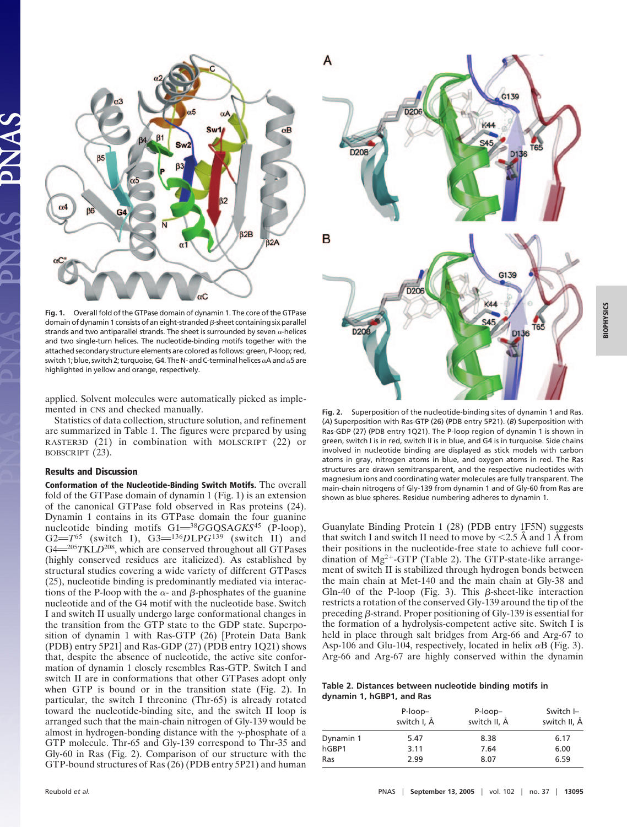

**Fig. 1.** Overall fold of the GTPase domain of dynamin 1. The core of the GTPase domain of dynamin 1 consists of an eight-stranded  $\beta$ -sheet containing six parallel strands and two antiparallel strands. The sheet is surrounded by seven  $\alpha$ -helices and two single-turn helices. The nucleotide-binding motifs together with the attached secondary structure elements are colored as follows: green, P-loop; red, switch 1; blue, switch 2; turquoise, G4. The N- and C-terminal helices  $\alpha$ A and  $\alpha$ 5 are highlighted in yellow and orange, respectively.

applied. Solvent molecules were automatically picked as implemented in CNS and checked manually.

Statistics of data collection, structure solution, and refinement are summarized in Table 1. The figures were prepared by using RASTER3D (21) in combination with MOLSCRIPT (22) or BOBSCRIPT (23).

## **Results and Discussion**

**Conformation of the Nucleotide-Binding Switch Motifs.** The overall fold of the GTPase domain of dynamin 1 (Fig. 1) is an extension of the canonical GTPase fold observed in Ras proteins (24). Dynamin 1 contains in its GTPase domain the four guanine nucleotide binding motifs  $GI = {}^{38}G$ GQSA $GKS^{45}$  (P-loop), G2= $T^{65}$  (switch I), G3= $^{136}$ *DLPG*<sup>139</sup> (switch II) and G4<sup>205</sup>*TKLD*<sup>208</sup>, which are conserved throughout all GTPases (highly conserved residues are italicized). As established by structural studies covering a wide variety of different GTPases (25), nucleotide binding is predominantly mediated via interactions of the P-loop with the  $\alpha$ - and  $\beta$ -phosphates of the guanine nucleotide and of the G4 motif with the nucleotide base. Switch I and switch II usually undergo large conformational changes in the transition from the GTP state to the GDP state. Superposition of dynamin 1 with Ras-GTP (26) [Protein Data Bank (PDB) entry 5P21] and Ras-GDP (27) (PDB entry 1Q21) shows that, despite the absence of nucleotide, the active site conformation of dynamin 1 closely resembles Ras-GTP. Switch I and switch II are in conformations that other GTPases adopt only when GTP is bound or in the transition state (Fig. 2). In particular, the switch I threonine (Thr-65) is already rotated toward the nucleotide-binding site, and the switch II loop is arranged such that the main-chain nitrogen of Gly-139 would be almost in hydrogen-bonding distance with the  $\gamma$ -phosphate of a GTP molecule. Thr-65 and Gly-139 correspond to Thr-35 and Gly-60 in Ras (Fig. 2). Comparison of our structure with the GTP-bound structures of Ras (26) (PDB entry 5P21) and human



**Fig. 2.** Superposition of the nucleotide-binding sites of dynamin 1 and Ras. (*A*) Superposition with Ras-GTP (26) (PDB entry 5P21). (*B*) Superposition with Ras-GDP (27) (PDB entry 1Q21). The P-loop region of dynamin 1 is shown in green, switch I is in red, switch II is in blue, and G4 is in turquoise. Side chains involved in nucleotide binding are displayed as stick models with carbon atoms in gray, nitrogen atoms in blue, and oxygen atoms in red. The Ras structures are drawn semitransparent, and the respective nucleotides with magnesium ions and coordinating water molecules are fully transparent. The main-chain nitrogens of Gly-139 from dynamin 1 and of Gly-60 from Ras are shown as blue spheres. Residue numbering adheres to dynamin 1.

Guanylate Binding Protein 1 (28) (PDB entry 1F5N) suggests that switch I and switch II need to move by  $\leq 2.5$  Å and 1 Å from their positions in the nucleotide-free state to achieve full coordination of  $Mg^{2+}$ -GTP (Table 2). The GTP-state-like arrangement of switch II is stabilized through hydrogen bonds between the main chain at Met-140 and the main chain at Gly-38 and Gln-40 of the P-loop (Fig. 3). This  $\beta$ -sheet-like interaction restricts a rotation of the conserved Gly-139 around the tip of the preceding  $\beta$ -strand. Proper positioning of Gly-139 is essential for the formation of a hydrolysis-competent active site. Switch I is held in place through salt bridges from Arg-66 and Arg-67 to Asp-106 and Glu-104, respectively, located in helix  $\alpha$ B (Fig. 3). Arg-66 and Arg-67 are highly conserved within the dynamin

## **Table 2. Distances between nucleotide binding motifs in dynamin 1, hGBP1, and Ras**

|           | P-loop-<br>switch I, Å | P-loop-<br>switch II, Å | Switch I-<br>switch II, Å |
|-----------|------------------------|-------------------------|---------------------------|
| Dynamin 1 | 5.47                   | 8.38                    | 6.17                      |
| hGBP1     | 3.11                   | 7.64                    | 6.00                      |
| Ras       | 2.99                   | 8.07                    | 6.59                      |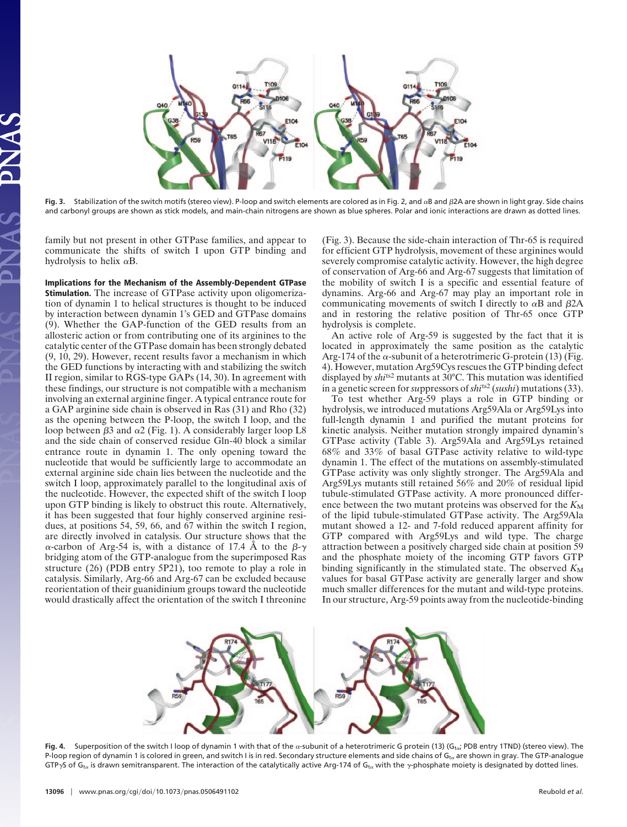

Fig. 3. Stabilization of the switch motifs (stereo view). P-loop and switch elements are colored as in Fig. 2, and  $\alpha$ B and  $\beta$ 2A are shown in light gray. Side chains and carbonyl groups are shown as stick models, and main-chain nitrogens are shown as blue spheres. Polar and ionic interactions are drawn as dotted lines.

family but not present in other GTPase families, and appear to communicate the shifts of switch I upon GTP binding and hydrolysis to helix  $\alpha$ B.

**Implications for the Mechanism of the Assembly-Dependent GTPase Stimulation.** The increase of GTPase activity upon oligomerization of dynamin 1 to helical structures is thought to be induced by interaction between dynamin 1's GED and GTPase domains (9). Whether the GAP-function of the GED results from an allosteric action or from contributing one of its arginines to the catalytic center of the GTPase domain has been strongly debated (9, 10, 29). However, recent results favor a mechanism in which the GED functions by interacting with and stabilizing the switch II region, similar to RGS-type GAPs (14, 30). In agreement with these findings, our structure is not compatible with a mechanism involving an external arginine finger. A typical entrance route for a GAP arginine side chain is observed in Ras (31) and Rho (32) as the opening between the P-loop, the switch I loop, and the loop between  $\beta$ 3 and  $\alpha$ 2 (Fig. 1). A considerably larger loop L8 and the side chain of conserved residue Gln-40 block a similar entrance route in dynamin 1. The only opening toward the nucleotide that would be sufficiently large to accommodate an external arginine side chain lies between the nucleotide and the switch I loop, approximately parallel to the longitudinal axis of the nucleotide. However, the expected shift of the switch I loop upon GTP binding is likely to obstruct this route. Alternatively, it has been suggested that four highly conserved arginine residues, at positions 54, 59, 66, and 67 within the switch I region, are directly involved in catalysis. Our structure shows that the  $\alpha$ -carbon of Arg-54 is, with a distance of 17.4 Å to the  $\beta$ - $\gamma$ bridging atom of the GTP-analogue from the superimposed Ras structure (26) (PDB entry 5P21), too remote to play a role in catalysis. Similarly, Arg-66 and Arg-67 can be excluded because reorientation of their guanidinium groups toward the nucleotide would drastically affect the orientation of the switch I threonine

(Fig. 3). Because the side-chain interaction of Thr-65 is required for efficient GTP hydrolysis, movement of these arginines would severely compromise catalytic activity. However, the high degree of conservation of Arg-66 and Arg-67 suggests that limitation of the mobility of switch I is a specific and essential feature of dynamins. Arg-66 and Arg-67 may play an important role in communicating movements of switch I directly to  $\alpha$ B and  $\beta$ 2A and in restoring the relative position of Thr-65 once GTP hydrolysis is complete.

An active role of Arg-59 is suggested by the fact that it is located in approximately the same position as the catalytic Arg-174 of the  $\alpha$ -subunit of a heterotrimeric G-protein (13) (Fig. 4). However, mutation Arg59Cys rescues the GTP binding defect displayed by *shi*ts2 mutants at 30°C. This mutation was identified in a genetic screen for*su*ppressors of *shi*ts2 (*sushi*) mutations (33).

To test whether Arg-59 plays a role in GTP binding or hydrolysis, we introduced mutations Arg59Ala or Arg59Lys into full-length dynamin 1 and purified the mutant proteins for kinetic analysis. Neither mutation strongly impaired dynamin's GTPase activity (Table 3). Arg59Ala and Arg59Lys retained 68% and 33% of basal GTPase activity relative to wild-type dynamin 1. The effect of the mutations on assembly-stimulated GTPase activity was only slightly stronger. The Arg59Ala and Arg59Lys mutants still retained 56% and 20% of residual lipid tubule-stimulated GTPase activity. A more pronounced difference between the two mutant proteins was observed for the  $K_M$ of the lipid tubule-stimulated GTPase activity. The Arg59Ala mutant showed a 12- and 7-fold reduced apparent affinity for GTP compared with Arg59Lys and wild type. The charge attraction between a positively charged side chain at position 59 and the phosphate moiety of the incoming GTP favors GTP binding significantly in the stimulated state. The observed  $K_M$ values for basal GTPase activity are generally larger and show much smaller differences for the mutant and wild-type proteins. In our structure, Arg-59 points away from the nucleotide-binding



Fig. 4. Superposition of the switch I loop of dynamin 1 with that of the a-subunit of a heterotrimeric G protein (13) (Gtair PDB entry 1TND) (stereo view). The P-loop region of dynamin 1 is colored in green, and switch I is in red. Secondary structure elements and side chains of G<sub>ta</sub> are shown in gray. The GTP-analogue GTP $\gamma$ S of G<sub>ta</sub> is drawn semitransparent. The interaction of the catalytically active Arg-174 of G<sub>ta</sub> with the  $\gamma$ -phosphate moiety is designated by dotted lines.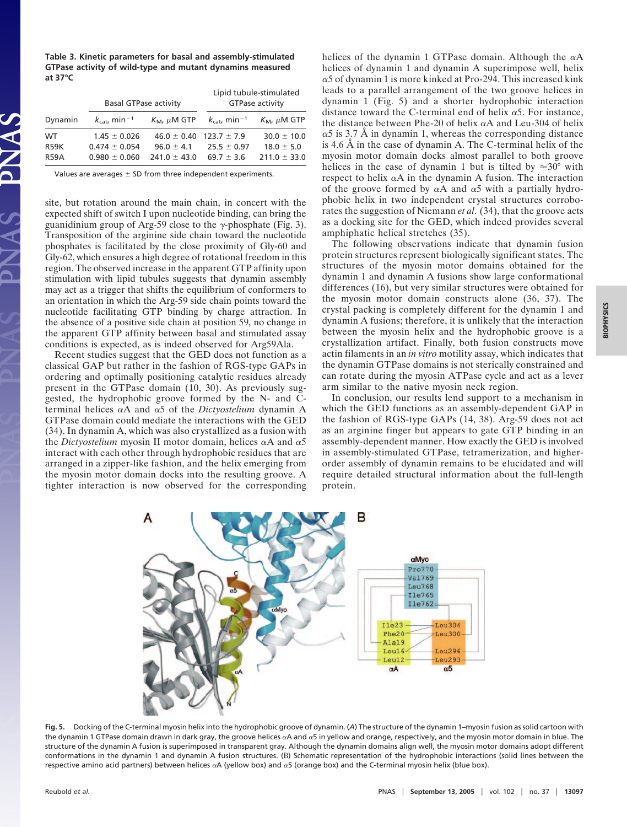**Table 3. Kinetic parameters for basal and assembly-stimulated GTPase activity of wild-type and mutant dynamins measured at 37°C**

|             | <b>Basal GTPase activity</b>         |                                 | Lipid tubule-stimulated<br><b>GTPase activity</b> |                                         |
|-------------|--------------------------------------|---------------------------------|---------------------------------------------------|-----------------------------------------|
| Dynamin     | $k_{\text{cat}}$ , min <sup>-1</sup> | $K_M$ , $\mu$ M GTP             | $k_{\text{cat}}$ , min <sup>-1</sup>              | $K_{\mathsf{M}}$ , $\mu \mathsf{M}$ GTP |
| WT.         | $1.45 \pm 0.026$                     | $46.0 \pm 0.40$ 123.7 $\pm$ 7.9 |                                                   | $30.0 \pm 10.0$                         |
| <b>R59K</b> | $0.474 + 0.054$                      | $96.0 + 4.1$                    | $25.5 + 0.97$                                     | $18.0 \pm 5.0$                          |
| <b>R59A</b> | $0.980 + 0.060$                      | $741.0 + 43.0$                  | $69.7 + 3.6$                                      | $211.0 \pm 33.0$                        |

Values are averages  $\pm$  SD from three independent experiments.

site, but rotation around the main chain, in concert with the expected shift of switch I upon nucleotide binding, can bring the guanidinium group of Arg-59 close to the  $\gamma$ -phosphate (Fig. 3). Transposition of the arginine side chain toward the nucleotide phosphates is facilitated by the close proximity of Gly-60 and Gly-62, which ensures a high degree of rotational freedom in this region. The observed increase in the apparent GTP affinity upon stimulation with lipid tubules suggests that dynamin assembly may act as a trigger that shifts the equilibrium of conformers to an orientation in which the Arg-59 side chain points toward the nucleotide facilitating GTP binding by charge attraction. In the absence of a positive side chain at position 59, no change in the apparent GTP affinity between basal and stimulated assay conditions is expected, as is indeed observed for Arg59Ala.

Recent studies suggest that the GED does not function as a classical GAP but rather in the fashion of RGS-type GAPs in ordering and optimally positioning catalytic residues already present in the GTPase domain (10, 30). As previously suggested, the hydrophobic groove formed by the N- and Cterminal helices  $\alpha A$  and  $\alpha 5$  of the *Dictyostelium* dynamin A GTPase domain could mediate the interactions with the GED (34). In dynamin A, which was also crystallized as a fusion with the *Dictyostelium* myosin II motor domain, helices  $\alpha A$  and  $\alpha 5$ interact with each other through hydrophobic residues that are arranged in a zipper-like fashion, and the helix emerging from the myosin motor domain docks into the resulting groove. A tighter interaction is now observed for the corresponding helices of the dynamin 1 GTPase domain. Although the  $\alpha$ A helices of dynamin 1 and dynamin A superimpose well, helix  $\alpha$ 5 of dynamin 1 is more kinked at Pro-294. This increased kink leads to a parallel arrangement of the two groove helices in dynamin 1 (Fig. 5) and a shorter hydrophobic interaction distance toward the C-terminal end of helix  $\alpha$ 5. For instance, the distance between Phe-20 of helix  $\alpha$ A and Leu-304 of helix  $\alpha$ 5 is 3.7 Å in dynamin 1, whereas the corresponding distance is 4.6 Å in the case of dynamin A. The C-terminal helix of the myosin motor domain docks almost parallel to both groove helices in the case of dynamin 1 but is tilted by  $\approx 30^{\circ}$  with respect to helix  $\alpha A$  in the dynamin A fusion. The interaction of the groove formed by  $\alpha A$  and  $\alpha 5$  with a partially hydrophobic helix in two independent crystal structures corroborates the suggestion of Niemann *et al.* (34), that the groove acts as a docking site for the GED, which indeed provides several amphiphatic helical stretches (35).

The following observations indicate that dynamin fusion protein structures represent biologically significant states. The structures of the myosin motor domains obtained for the dynamin 1 and dynamin A fusions show large conformational differences (16), but very similar structures were obtained for the myosin motor domain constructs alone (36, 37). The crystal packing is completely different for the dynamin 1 and dynamin A fusions; therefore, it is unlikely that the interaction between the myosin helix and the hydrophobic groove is a crystallization artifact. Finally, both fusion constructs move actin filaments in an *in vitro* motility assay, which indicates that the dynamin GTPase domains is not sterically constrained and can rotate during the myosin ATPase cycle and act as a lever arm similar to the native myosin neck region.

In conclusion, our results lend support to a mechanism in which the GED functions as an assembly-dependent GAP in the fashion of RGS-type GAPs (14, 38). Arg-59 does not act as an arginine finger but appears to gate GTP binding in an assembly-dependent manner. How exactly the GED is involved in assembly-stimulated GTPase, tetramerization, and higherorder assembly of dynamin remains to be elucidated and will require detailed structural information about the full-length protein.



**Fig. 5.** Docking of the C-terminal myosin helix into the hydrophobic groove of dynamin. (*A*) The structure of the dynamin 1–myosin fusion as solid cartoon with the dynamin 1 GTPase domain drawn in dark gray, the groove helices  $\alpha A$  and  $\alpha S$  in yellow and orange, respectively, and the myosin motor domain in blue. The structure of the dynamin A fusion is superimposed in transparent gray. Although the dynamin domains align well, the myosin motor domains adopt different conformations in the dynamin 1 and dynamin A fusion structures. (B) Schematic representation of the hydrophobic interactions (solid lines between the respective amino acid partners) between helices  $\alpha A$  (yellow box) and  $\alpha$ 5 (orange box) and the C-terminal myosin helix (blue box).